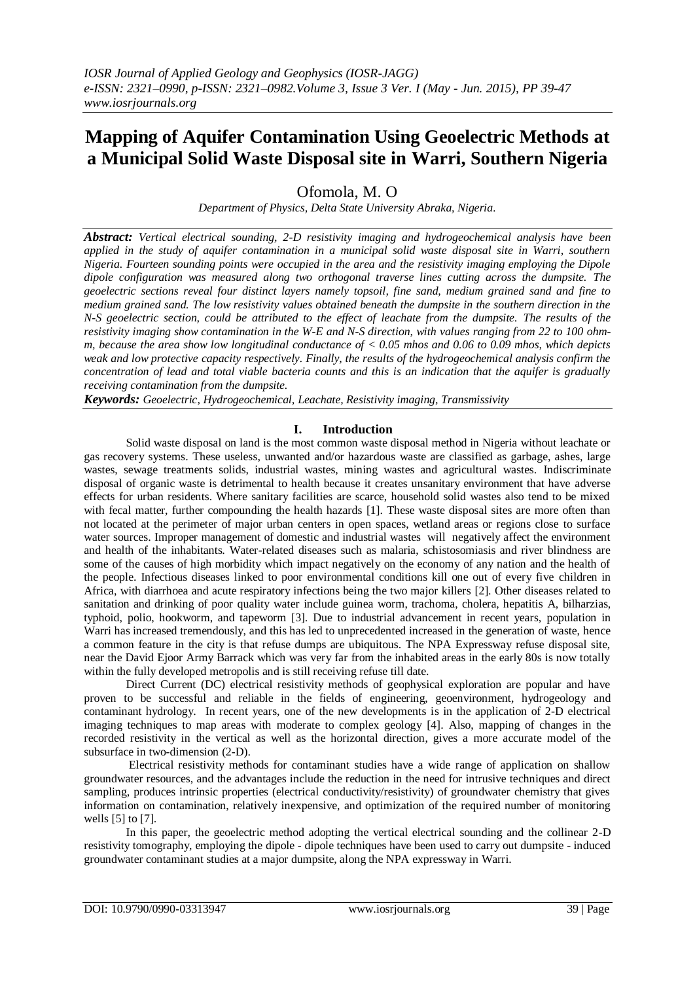# **Mapping of Aquifer Contamination Using Geoelectric Methods at a Municipal Solid Waste Disposal site in Warri, Southern Nigeria**

Ofomola, M. O

*Department of Physics, Delta State University Abraka, Nigeria.*

*Abstract: Vertical electrical sounding, 2-D resistivity imaging and hydrogeochemical analysis have been applied in the study of aquifer contamination in a municipal solid waste disposal site in Warri, southern Nigeria. Fourteen sounding points were occupied in the area and the resistivity imaging employing the Dipole dipole configuration was measured along two orthogonal traverse lines cutting across the dumpsite. The geoelectric sections reveal four distinct layers namely topsoil, fine sand, medium grained sand and fine to medium grained sand. The low resistivity values obtained beneath the dumpsite in the southern direction in the N-S geoelectric section, could be attributed to the effect of leachate from the dumpsite. The results of the resistivity imaging show contamination in the W-E and N-S direction, with values ranging from 22 to 100 ohmm, because the area show low longitudinal conductance of < 0.05 mhos and 0.06 to 0.09 mhos, which depicts weak and low protective capacity respectively. Finally, the results of the hydrogeochemical analysis confirm the concentration of lead and total viable bacteria counts and this is an indication that the aquifer is gradually receiving contamination from the dumpsite.*

*Keywords: Geoelectric, Hydrogeochemical, Leachate, Resistivity imaging, Transmissivity*

#### **I. Introduction**

Solid waste disposal on land is the most common waste disposal method in Nigeria without leachate or gas recovery systems. These useless, unwanted and/or hazardous waste are classified as garbage, ashes, large wastes, sewage treatments solids, industrial wastes, mining wastes and agricultural wastes. Indiscriminate disposal of organic waste is detrimental to health because it creates unsanitary environment that have adverse effects for urban residents. Where sanitary facilities are scarce, household solid wastes also tend to be mixed with fecal matter, further compounding the health hazards [1]. These waste disposal sites are more often than not located at the perimeter of major urban centers in open spaces, wetland areas or regions close to surface water sources. Improper management of domestic and industrial wastes will negatively affect the environment and health of the inhabitants. Water-related diseases such as malaria, schistosomiasis and river blindness are some of the causes of high morbidity which impact negatively on the economy of any nation and the health of the people. Infectious diseases linked to poor environmental conditions kill one out of every five children in Africa, with diarrhoea and acute respiratory infections being the two major killers [2]. Other diseases related to sanitation and drinking of poor quality water include guinea worm, trachoma, cholera, hepatitis A, bilharzias, typhoid, polio, hookworm, and tapeworm [3]. Due to industrial advancement in recent years, population in Warri has increased tremendously, and this has led to unprecedented increased in the generation of waste, hence a common feature in the city is that refuse dumps are ubiquitous. The NPA Expressway refuse disposal site, near the David Ejoor Army Barrack which was very far from the inhabited areas in the early 80s is now totally within the fully developed metropolis and is still receiving refuse till date.

Direct Current (DC) electrical resistivity methods of geophysical exploration are popular and have proven to be successful and reliable in the fields of engineering, geoenvironment, hydrogeology and contaminant hydrology. In recent years, one of the new developments is in the application of 2-D electrical imaging techniques to map areas with moderate to complex geology [4]. Also, mapping of changes in the recorded resistivity in the vertical as well as the horizontal direction, gives a more accurate model of the subsurface in two-dimension (2-D).

Electrical resistivity methods for contaminant studies have a wide range of application on shallow groundwater resources, and the advantages include the reduction in the need for intrusive techniques and direct sampling, produces intrinsic properties (electrical conductivity/resistivity) of groundwater chemistry that gives information on contamination, relatively inexpensive, and optimization of the required number of monitoring wells [5] to [7].

In this paper, the geoelectric method adopting the vertical electrical sounding and the collinear 2-D resistivity tomography, employing the dipole - dipole techniques have been used to carry out dumpsite - induced groundwater contaminant studies at a major dumpsite, along the NPA expressway in Warri.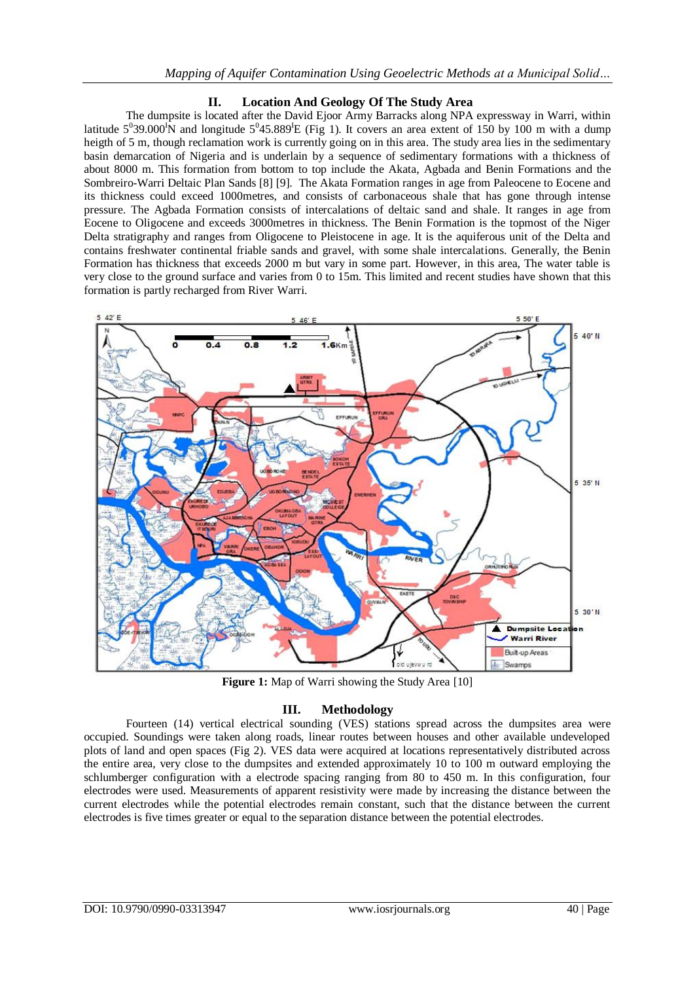#### **II. Location And Geology Of The Study Area**

The dumpsite is located after the David Ejoor Army Barracks along NPA expressway in Warri, within latitude  $5^0$ 39.000<sup>I</sup>N and longitude  $5^0$ 45.889<sup>I</sup>E (Fig 1). It covers an area extent of 150 by 100 m with a dump heigth of 5 m, though reclamation work is currently going on in this area. The study area lies in the sedimentary basin demarcation of Nigeria and is underlain by a sequence of sedimentary formations with a thickness of about 8000 m. This formation from bottom to top include the Akata, Agbada and Benin Formations and the Sombreiro-Warri Deltaic Plan Sands [8] [9]. The Akata Formation ranges in age from Paleocene to Eocene and its thickness could exceed 1000metres, and consists of carbonaceous shale that has gone through intense pressure. The Agbada Formation consists of intercalations of deltaic sand and shale. It ranges in age from Eocene to Oligocene and exceeds 3000metres in thickness. The Benin Formation is the topmost of the Niger Delta stratigraphy and ranges from Oligocene to Pleistocene in age. It is the aquiferous unit of the Delta and contains freshwater continental friable sands and gravel, with some shale intercalations. Generally, the Benin Formation has thickness that exceeds 2000 m but vary in some part. However, in this area, The water table is very close to the ground surface and varies from 0 to 15m. This limited and recent studies have shown that this formation is partly recharged from River Warri.



**Figure 1:** Map of Warri showing the Study Area [10]

#### **III. Methodology**

Fourteen (14) vertical electrical sounding (VES) stations spread across the dumpsites area were occupied. Soundings were taken along roads, linear routes between houses and other available undeveloped plots of land and open spaces (Fig 2). VES data were acquired at locations representatively distributed across the entire area, very close to the dumpsites and extended approximately 10 to 100 m outward employing the schlumberger configuration with a electrode spacing ranging from 80 to 450 m. In this configuration, four electrodes were used. Measurements of apparent resistivity were made by increasing the distance between the current electrodes while the potential electrodes remain constant, such that the distance between the current electrodes is five times greater or equal to the separation distance between the potential electrodes.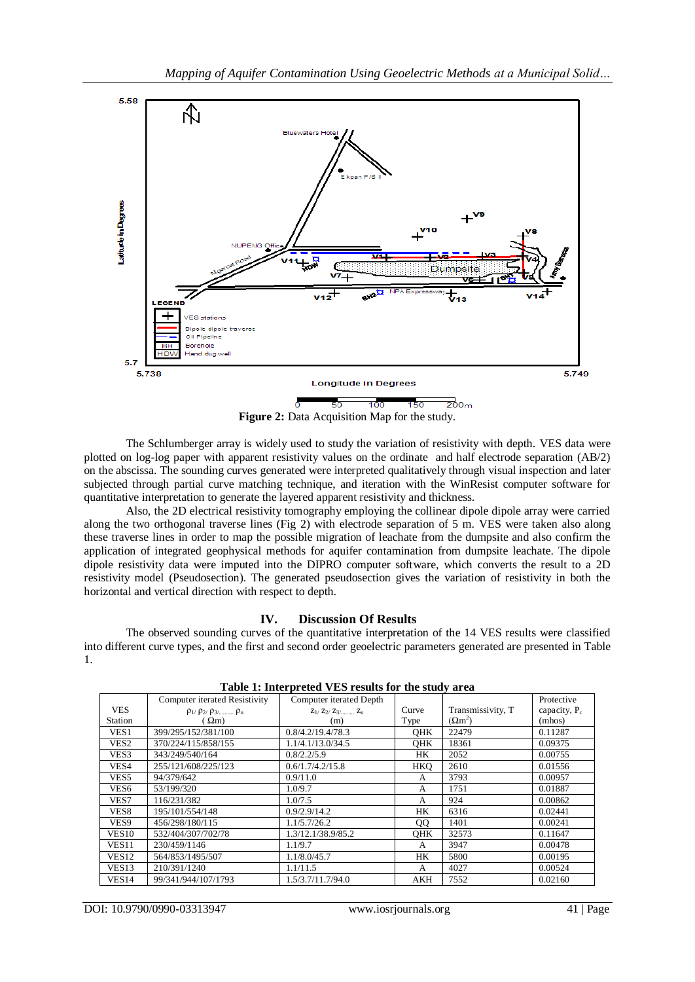

**Figure 2:** Data Acquisition Map for the study.

The Schlumberger array is widely used to study the variation of resistivity with depth. VES data were plotted on log-log paper with apparent resistivity values on the ordinate and half electrode separation (AB/2) on the abscissa. The sounding curves generated were interpreted qualitatively through visual inspection and later subjected through partial curve matching technique, and iteration with the WinResist computer software for quantitative interpretation to generate the layered apparent resistivity and thickness.

Also, the 2D electrical resistivity tomography employing the collinear dipole dipole array were carried along the two orthogonal traverse lines (Fig 2) with electrode separation of 5 m. VES were taken also along these traverse lines in order to map the possible migration of leachate from the dumpsite and also confirm the application of integrated geophysical methods for aquifer contamination from dumpsite leachate. The dipole dipole resistivity data were imputed into the DIPRO computer software, which converts the result to a 2D resistivity model (Pseudosection). The generated pseudosection gives the variation of resistivity in both the horizontal and vertical direction with respect to depth.

# **IV. Discussion Of Results**

The observed sounding curves of the quantitative interpretation of the 14 VES results were classified into different curve types, and the first and second order geoelectric parameters generated are presented in Table 1.

|                   | <b>Computer iterated Resistivity</b>     | Computer iterated Depth       |            |                   | Protective      |
|-------------------|------------------------------------------|-------------------------------|------------|-------------------|-----------------|
| <b>VES</b>        | $\rho_{1}/\rho_{2}/\rho_{3}/$ $\rho_{n}$ | $Z_1$ / $Z_2$ / $Z_3$ / $Z_n$ | Curve      | Transmissivity, T | capacity, $P_c$ |
| Station           | $\Omega$ m)                              | (m)                           | Type       | $(\Omega m^2)$    | (mhos)          |
| VES <sub>1</sub>  | 399/295/152/381/100                      | 0.8/4.2/19.4/78.3             | OHK        | 22479             | 0.11287         |
| VES <sub>2</sub>  | 370/224/115/858/155                      | 1.1/4.1/13.0/34.5             | <b>OHK</b> | 18361             | 0.09375         |
| VES <sub>3</sub>  | 343/249/540/164                          | 0.8/2.2/5.9                   | <b>HK</b>  | 2052              | 0.00755         |
| VES4              | 255/121/608/225/123                      | 0.6/1.7/4.2/15.8              | <b>HKO</b> | 2610              | 0.01556         |
| VES <sub>5</sub>  | 94/379/642                               | 0.9/11.0                      | A          | 3793              | 0.00957         |
| VES <sub>6</sub>  | 53/199/320                               | 1.0/9.7                       | A          | 1751              | 0.01887         |
| VES7              | 116/231/382                              | 1.0/7.5                       | A          | 924               | 0.00862         |
| VES8              | 195/101/554/148                          | 0.9/2.9/14.2                  | HК         | 6316              | 0.02441         |
| VES9              | 456/298/180/115                          | 1.1/5.7/26.2                  | QQ         | 1401              | 0.00241         |
| VES <sub>10</sub> | 532/404/307/702/78                       | 1.3/12.1/38.9/85.2            | <b>OHK</b> | 32573             | 0.11647         |
| <b>VES11</b>      | 230/459/1146                             | 1.1/9.7                       | A          | 3947              | 0.00478         |
| VES <sub>12</sub> | 564/853/1495/507                         | 1.1/8.0/45.7                  | HК         | 5800              | 0.00195         |
| VES <sub>13</sub> | 210/391/1240                             | 1.1/11.5                      | A          | 4027              | 0.00524         |
| VES <sub>14</sub> | 99/341/944/107/1793                      | 1.5/3.7/11.7/94.0             | AKH        | 7552              | 0.02160         |

**Table 1: Interpreted VES results for the study area**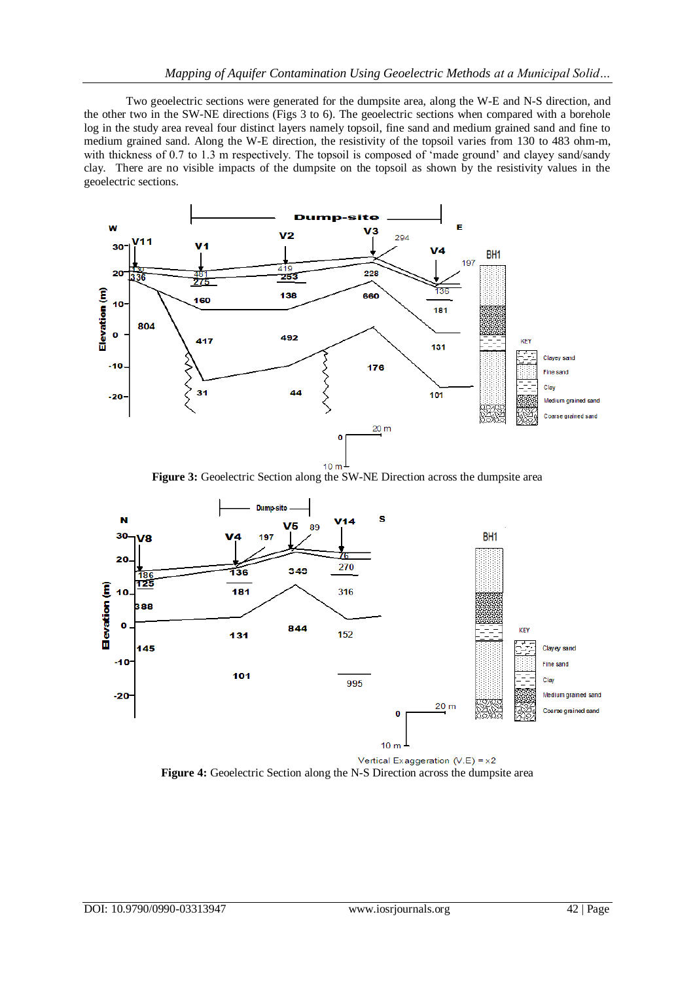Two geoelectric sections were generated for the dumpsite area, along the W-E and N-S direction, and the other two in the SW-NE directions (Figs 3 to 6). The geoelectric sections when compared with a borehole log in the study area reveal four distinct layers namely topsoil, fine sand and medium grained sand and fine to medium grained sand. Along the W-E direction, the resistivity of the topsoil varies from 130 to 483 ohm-m, with thickness of 0.7 to 1.3 m respectively. The topsoil is composed of 'made ground' and clayey sand/sandy clay. There are no visible impacts of the dumpsite on the topsoil as shown by the resistivity values in the geoelectric sections.



**Figure 3:** Geoelectric Section along the SW-NE Direction across the dumpsite area



**Figure 4:** Geoelectric Section along the N-S Direction across the dumpsite area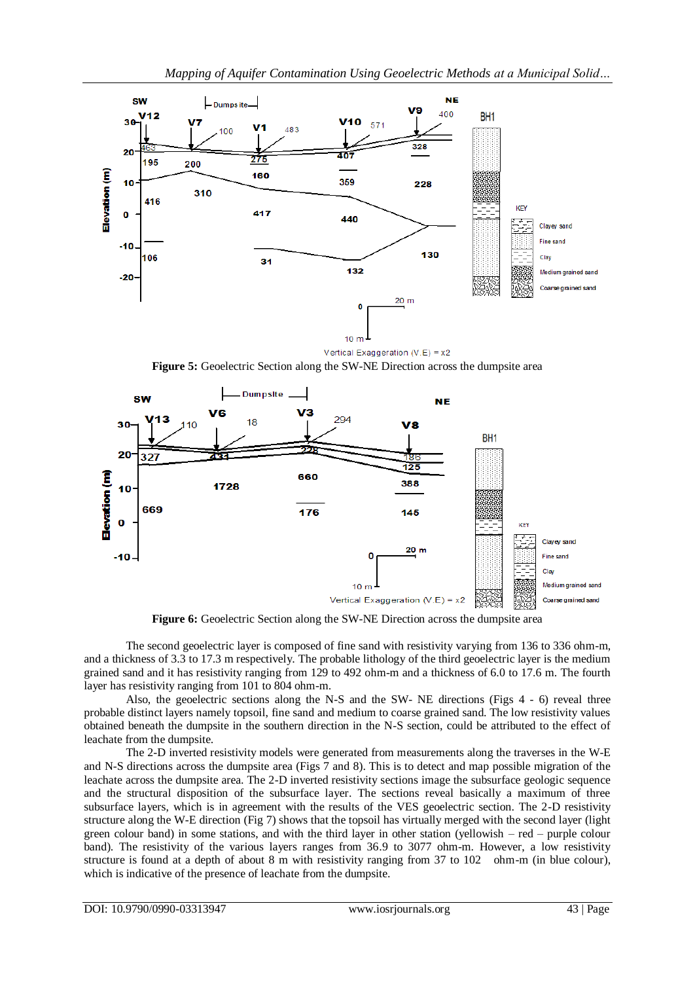

Vertical Exaggeration (V.E) = x2 **Figure 5:** Geoelectric Section along the SW-NE Direction across the dumpsite area



Figure 6: Geoelectric Section along the SW-NE Direction across the dumpsite area

The second geoelectric layer is composed of fine sand with resistivity varying from 136 to 336 ohm-m, and a thickness of 3.3 to 17.3 m respectively. The probable lithology of the third geoelectric layer is the medium grained sand and it has resistivity ranging from 129 to 492 ohm-m and a thickness of 6.0 to 17.6 m. The fourth layer has resistivity ranging from 101 to 804 ohm-m.

Also, the geoelectric sections along the N-S and the SW- NE directions (Figs 4 - 6) reveal three probable distinct layers namely topsoil, fine sand and medium to coarse grained sand. The low resistivity values obtained beneath the dumpsite in the southern direction in the N-S section, could be attributed to the effect of leachate from the dumpsite.

The 2-D inverted resistivity models were generated from measurements along the traverses in the W-E and N-S directions across the dumpsite area (Figs 7 and 8). This is to detect and map possible migration of the leachate across the dumpsite area. The 2-D inverted resistivity sections image the subsurface geologic sequence and the structural disposition of the subsurface layer. The sections reveal basically a maximum of three subsurface layers, which is in agreement with the results of the VES geoelectric section. The 2-D resistivity structure along the W-E direction (Fig 7) shows that the topsoil has virtually merged with the second layer (light green colour band) in some stations, and with the third layer in other station (yellowish – red – purple colour band). The resistivity of the various layers ranges from 36.9 to 3077 ohm-m. However, a low resistivity structure is found at a depth of about 8 m with resistivity ranging from 37 to 102 ohm-m (in blue colour), which is indicative of the presence of leachate from the dumpsite.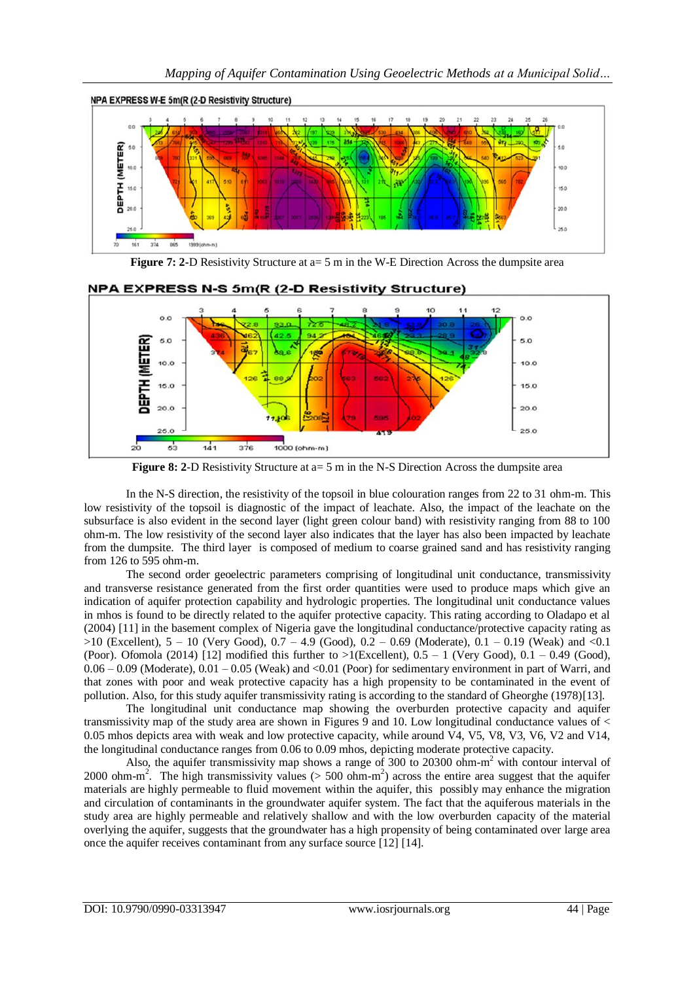

**Figure 7: 2-**D Resistivity Structure at a= 5 m in the W-E Direction Across the dumpsite area



## NPA EXPRESS N-S 5m(R (2-D Resistivity Structure)

**Figure 8: 2-D** Resistivity Structure at  $a=5$  m in the N-S Direction Across the dumpsite area

In the N-S direction, the resistivity of the topsoil in blue colouration ranges from 22 to 31 ohm-m. This low resistivity of the topsoil is diagnostic of the impact of leachate. Also, the impact of the leachate on the subsurface is also evident in the second layer (light green colour band) with resistivity ranging from 88 to 100 ohm-m. The low resistivity of the second layer also indicates that the layer has also been impacted by leachate from the dumpsite. The third layer is composed of medium to coarse grained sand and has resistivity ranging from 126 to 595 ohm-m.

The second order geoelectric parameters comprising of longitudinal unit conductance, transmissivity and transverse resistance generated from the first order quantities were used to produce maps which give an indication of aquifer protection capability and hydrologic properties. The longitudinal unit conductance values in mhos is found to be directly related to the aquifer protective capacity. This rating according to Oladapo et al (2004) [11] in the basement complex of Nigeria gave the longitudinal conductance/protective capacity rating as >10 (Excellent), 5 – 10 (Very Good), 0.7 – 4.9 (Good), 0.2 – 0.69 (Moderate), 0.1 – 0.19 (Weak) and <0.1 (Poor). Ofomola (2014) [12] modified this further to  $>1$ (Excellent),  $0.5 - 1$  (Very Good),  $0.1 - 0.49$  (Good),  $0.06 - 0.09$  (Moderate),  $0.01 - 0.05$  (Weak) and <0.01 (Poor) for sedimentary environment in part of Warri, and that zones with poor and weak protective capacity has a high propensity to be contaminated in the event of pollution. Also, for this study aquifer transmissivity rating is according to the standard of Gheorghe (1978)[13].

The longitudinal unit conductance map showing the overburden protective capacity and aquifer transmissivity map of the study area are shown in Figures 9 and 10. Low longitudinal conductance values of < 0.05 mhos depicts area with weak and low protective capacity, while around V4, V5, V8, V3, V6, V2 and V14, the longitudinal conductance ranges from 0.06 to 0.09 mhos, depicting moderate protective capacity.

Also, the aquifer transmissivity map shows a range of 300 to 20300 ohm-m <sup>2</sup> with contour interval of 2000 ohm-m<sup>2</sup>. The high transmissivity values ( $> 500$  ohm-m<sup>2</sup>) across the entire area suggest that the aquifer materials are highly permeable to fluid movement within the aquifer, this possibly may enhance the migration and circulation of contaminants in the groundwater aquifer system. The fact that the aquiferous materials in the study area are highly permeable and relatively shallow and with the low overburden capacity of the material overlying the aquifer, suggests that the groundwater has a high propensity of being contaminated over large area once the aquifer receives contaminant from any surface source [12] [14].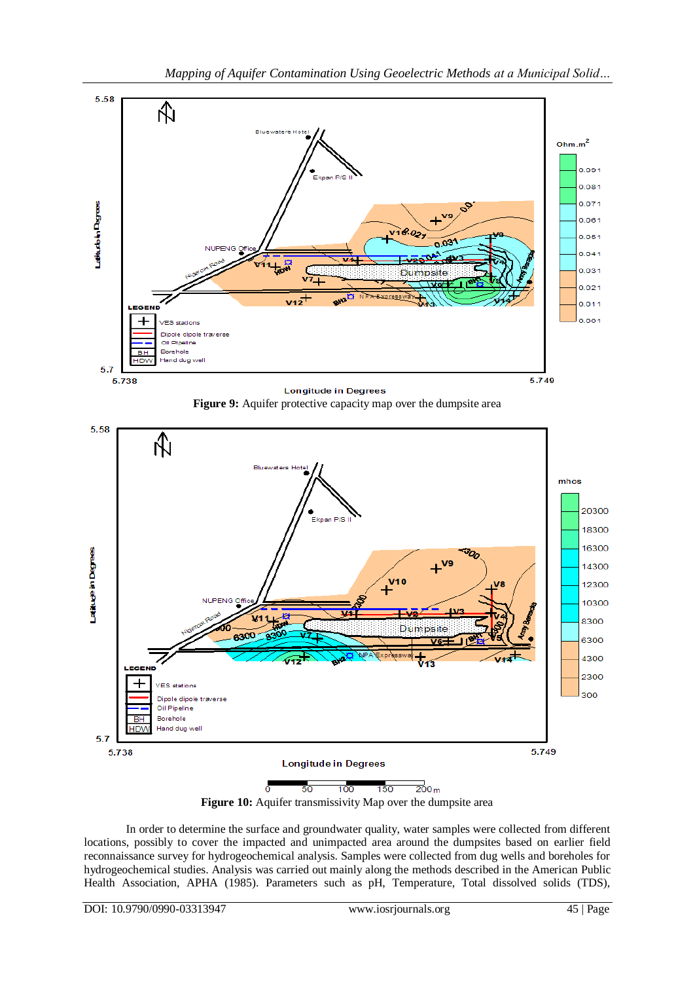





**Figure 10:** Aquifer transmissivity Map over the dumpsite area

In order to determine the surface and groundwater quality, water samples were collected from different locations, possibly to cover the impacted and unimpacted area around the dumpsites based on earlier field reconnaissance survey for hydrogeochemical analysis. Samples were collected from dug wells and boreholes for hydrogeochemical studies. Analysis was carried out mainly along the methods described in the American Public Health Association, APHA (1985). Parameters such as pH, Temperature, Total dissolved solids (TDS),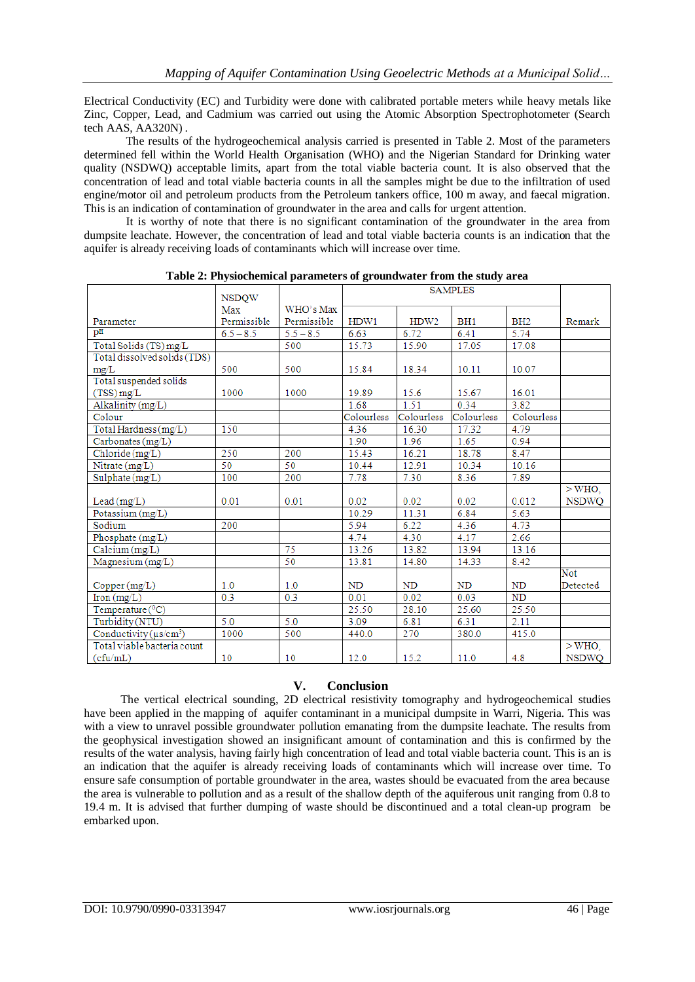Electrical Conductivity (EC) and Turbidity were done with calibrated portable meters while heavy metals like Zinc, Copper, Lead, and Cadmium was carried out using the Atomic Absorption Spectrophotometer (Search tech AAS, AA320N) .

The results of the hydrogeochemical analysis carried is presented in Table 2. Most of the parameters determined fell within the World Health Organisation (WHO) and the Nigerian Standard for Drinking water quality (NSDWQ) acceptable limits, apart from the total viable bacteria count. It is also observed that the concentration of lead and total viable bacteria counts in all the samples might be due to the infiltration of used engine/motor oil and petroleum products from the Petroleum tankers office, 100 m away, and faecal migration. This is an indication of contamination of groundwater in the area and calls for urgent attention.

It is worthy of note that there is no significant contamination of the groundwater in the area from dumpsite leachate. However, the concentration of lead and total viable bacteria counts is an indication that the aquifer is already receiving loads of contaminants which will increase over time.

| raoic 2, 1 nyorochemicar parameters or ground water from the staty area |              |             | <b>SAMPLES</b> |                  |                 |                 |              |
|-------------------------------------------------------------------------|--------------|-------------|----------------|------------------|-----------------|-----------------|--------------|
|                                                                         | <b>NSDOW</b> |             |                |                  |                 |                 |              |
|                                                                         | Max          | WHO's Max   |                |                  |                 |                 |              |
| Parameter                                                               | Permissible  | Permissible | HDW1           | HDW <sub>2</sub> | BH <sub>1</sub> | BH <sub>2</sub> | Remark       |
| pH                                                                      | $6.5 - 8.5$  | $5.5 - 8.5$ | 6.63           | 6.72             | 6.41            | 5.74            |              |
| Total Solids (TS) mg/L                                                  |              | 500         | 15.73          | 15.90            | 17.05           | 17.08           |              |
| Total dissolved solids (TDS)                                            |              |             |                |                  |                 |                 |              |
| mg/L                                                                    | 500          | 500         | 15.84          | 18.34            | 10.11           | 10.07           |              |
| Total suspended solids                                                  |              |             |                |                  |                 |                 |              |
| $(TSS)$ mg/L                                                            | 1000         | 1000        | 19.89          | 15.6             | 15.67           | 16.01           |              |
| Alkalinity (mg/L)                                                       |              |             | 1.68           | 1.51             | 0.34            | 3.82            |              |
| Colour                                                                  |              |             | Colourless     | Colourless       | Colourless      | Colourless      |              |
| Total Hardness (mg/L)                                                   | 150          |             | 4.36           | 16.30            | 17.32           | 4.79            |              |
| Carbonates (mg/L)                                                       |              |             | 1.90           | 1.96             | 1.65            | 0.94            |              |
| Chloride (mg/L)                                                         | 250          | 200         | 15.43          | 16.21            | 18.78           | 8.47            |              |
| Nitrate $(mg/L)$                                                        | 50           | 50          | 10.44          | 12.91            | 10.34           | 10.16           |              |
| $\text{Subject}(\text{mg/L})$                                           | 100          | 200         | 7.78           | 7.30             | 8.36            | 7.89            |              |
|                                                                         |              |             |                |                  |                 |                 | $>$ WHO,     |
| Lead $(mg/L)$                                                           | 0.01         | 0.01        | 0.02           | 0.02             | 0.02            | 0.012           | <b>NSDWQ</b> |
| Potassium (mg/L)                                                        |              |             | 10.29          | 11.31            | 6.84            | 5.63            |              |
| Sodium                                                                  | 200          |             | 5.94           | 6.22             | 4.36            | 4.73            |              |
| Phosphate $(mg/L)$                                                      |              |             | 4.74           | 4.30             | 4.17            | 2.66            |              |
| Calcium (mg/L)                                                          |              | 75          | 13.26          | 13.82            | 13.94           | 13.16           |              |
| Magnesium (mg/L)                                                        |              | 50          | 13.81          | 14.80            | 14.33           | 8.42            |              |
|                                                                         |              |             |                |                  |                 |                 | Not          |
| Copper (mg/L)                                                           | 1.0          | 1.0         | <b>ND</b>      | <b>ND</b>        | <b>ND</b>       | <b>ND</b>       | Detected     |
| $\text{Iron}(\text{mg/L})$                                              | 0.3          | 0.3         | 0.01           | 0.02             | 0.03            | <b>ND</b>       |              |
| Temperature $(^0C)$                                                     |              |             | 25.50          | 28.10            | 25.60           | 25.50           |              |
| Turbidity (NTU)                                                         | 5.0          | 5.0         | 3.09           | 6.81             | 6.31            | 2.11            |              |
| Conductivity ( $\mu$ s/cm <sup>3</sup> )                                | 1000         | 500         | 440.0          | 270              | 380.0           | 415.0           |              |
| Total viable bacteria count                                             |              |             |                |                  |                 |                 | $>$ WHO.     |
| (cfu/mL)                                                                | 10           | 10          | 12.0           | 15.2             | 11.0            | 4.8             | <b>NSDWO</b> |

**Table 2: Physiochemical parameters of groundwater from the study area**

## **V. Conclusion**

The vertical electrical sounding, 2D electrical resistivity tomography and hydrogeochemical studies have been applied in the mapping of aquifer contaminant in a municipal dumpsite in Warri, Nigeria. This was with a view to unravel possible groundwater pollution emanating from the dumpsite leachate. The results from the geophysical investigation showed an insignificant amount of contamination and this is confirmed by the results of the water analysis, having fairly high concentration of lead and total viable bacteria count. This is an is an indication that the aquifer is already receiving loads of contaminants which will increase over time. To ensure safe consumption of portable groundwater in the area, wastes should be evacuated from the area because the area is vulnerable to pollution and as a result of the shallow depth of the aquiferous unit ranging from 0.8 to 19.4 m. It is advised that further dumping of waste should be discontinued and a total clean-up program be embarked upon.